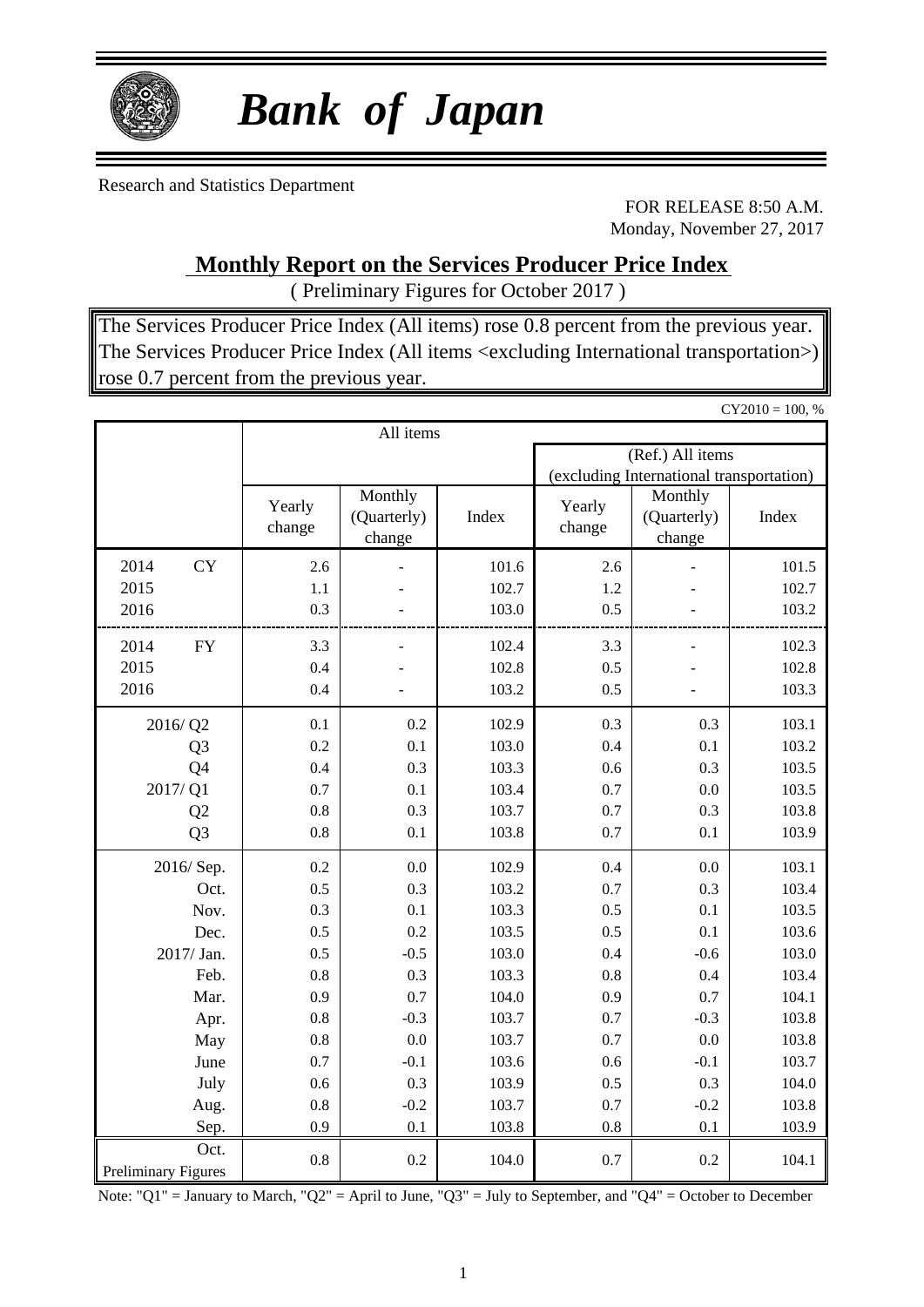

# *Bank of Japan*

Research and Statistics Department

FOR RELEASE 8:50 A.M. Monday, November 27, 2017

### **Monthly Report on the Services Producer Price Index**

( Preliminary Figures for October 2017 )

The Services Producer Price Index (All items) rose 0.8 percent from the previous year. The Services Producer Price Index (All items <excluding International transportation>) rose 0.7 percent from the previous year.

|                     |                  |                                  |       |                  |                                          | $CY2010 = 100, %$ |  |
|---------------------|------------------|----------------------------------|-------|------------------|------------------------------------------|-------------------|--|
|                     |                  | All items                        |       |                  |                                          |                   |  |
|                     |                  |                                  |       |                  | (Ref.) All items                         |                   |  |
|                     |                  |                                  |       |                  | (excluding International transportation) |                   |  |
|                     | Yearly<br>change | Monthly<br>(Quarterly)<br>change | Index | Yearly<br>change | Monthly<br>(Quarterly)<br>change         | Index             |  |
| <b>CY</b><br>2014   | 2.6              |                                  | 101.6 | 2.6              |                                          | 101.5             |  |
| 2015                | 1.1              |                                  | 102.7 | 1.2              |                                          | 102.7             |  |
| 2016                | 0.3              |                                  | 103.0 | 0.5              |                                          | 103.2             |  |
| 2014<br>${\rm FY}$  | 3.3              |                                  | 102.4 | 3.3              |                                          | 102.3             |  |
| 2015                | 0.4              |                                  | 102.8 | 0.5              |                                          | 102.8             |  |
| 2016                | 0.4              |                                  | 103.2 | 0.5              |                                          | 103.3             |  |
| 2016/Q2             | 0.1              | 0.2                              | 102.9 | 0.3              | 0.3                                      | 103.1             |  |
| Q <sub>3</sub>      | 0.2              | 0.1                              | 103.0 | 0.4              | 0.1                                      | 103.2             |  |
| Q4                  | 0.4              | 0.3                              | 103.3 | 0.6              | 0.3                                      | 103.5             |  |
| 2017/Q1             | 0.7              | 0.1                              | 103.4 | 0.7              | 0.0                                      | 103.5             |  |
| Q <sub>2</sub>      | 0.8              | 0.3                              | 103.7 | 0.7              | 0.3                                      | 103.8             |  |
| Q <sub>3</sub>      | 0.8              | 0.1                              | 103.8 | 0.7              | 0.1                                      | 103.9             |  |
| 2016/Sep.           | 0.2              | 0.0                              | 102.9 | 0.4              | 0.0                                      | 103.1             |  |
| Oct.                | 0.5              | 0.3                              | 103.2 | 0.7              | 0.3                                      | 103.4             |  |
| Nov.                | 0.3              | 0.1                              | 103.3 | 0.5              | 0.1                                      | 103.5             |  |
| Dec.                | 0.5              | 0.2                              | 103.5 | 0.5              | 0.1                                      | 103.6             |  |
| 2017/ Jan.          | 0.5              | $-0.5$                           | 103.0 | 0.4              | $-0.6$                                   | 103.0             |  |
| Feb.                | 0.8              | 0.3                              | 103.3 | 0.8              | 0.4                                      | 103.4             |  |
| Mar.                | 0.9              | 0.7                              | 104.0 | 0.9              | 0.7                                      | 104.1             |  |
| Apr.                | 0.8              | $-0.3$                           | 103.7 | 0.7              | $-0.3$                                   | 103.8             |  |
| May                 | 0.8              | 0.0                              | 103.7 | 0.7              | 0.0                                      | 103.8             |  |
| June                | 0.7              | $-0.1$                           | 103.6 | 0.6              | $-0.1$                                   | 103.7             |  |
| July                | 0.6              | 0.3                              | 103.9 | 0.5              | 0.3                                      | 104.0             |  |
| Aug.                | 0.8              | $-0.2$                           | 103.7 | 0.7              | $-0.2$                                   | 103.8             |  |
| Sep.                | 0.9              | 0.1                              | 103.8 | 0.8              | 0.1                                      | 103.9             |  |
| Oct.                | 0.8              | 0.2                              | 104.0 | 0.7              | 0.2                                      | 104.1             |  |
| Preliminary Figures |                  |                                  |       |                  |                                          |                   |  |

Note: "Q1" = January to March, "Q2" = April to June, "Q3" = July to September, and "Q4" = October to December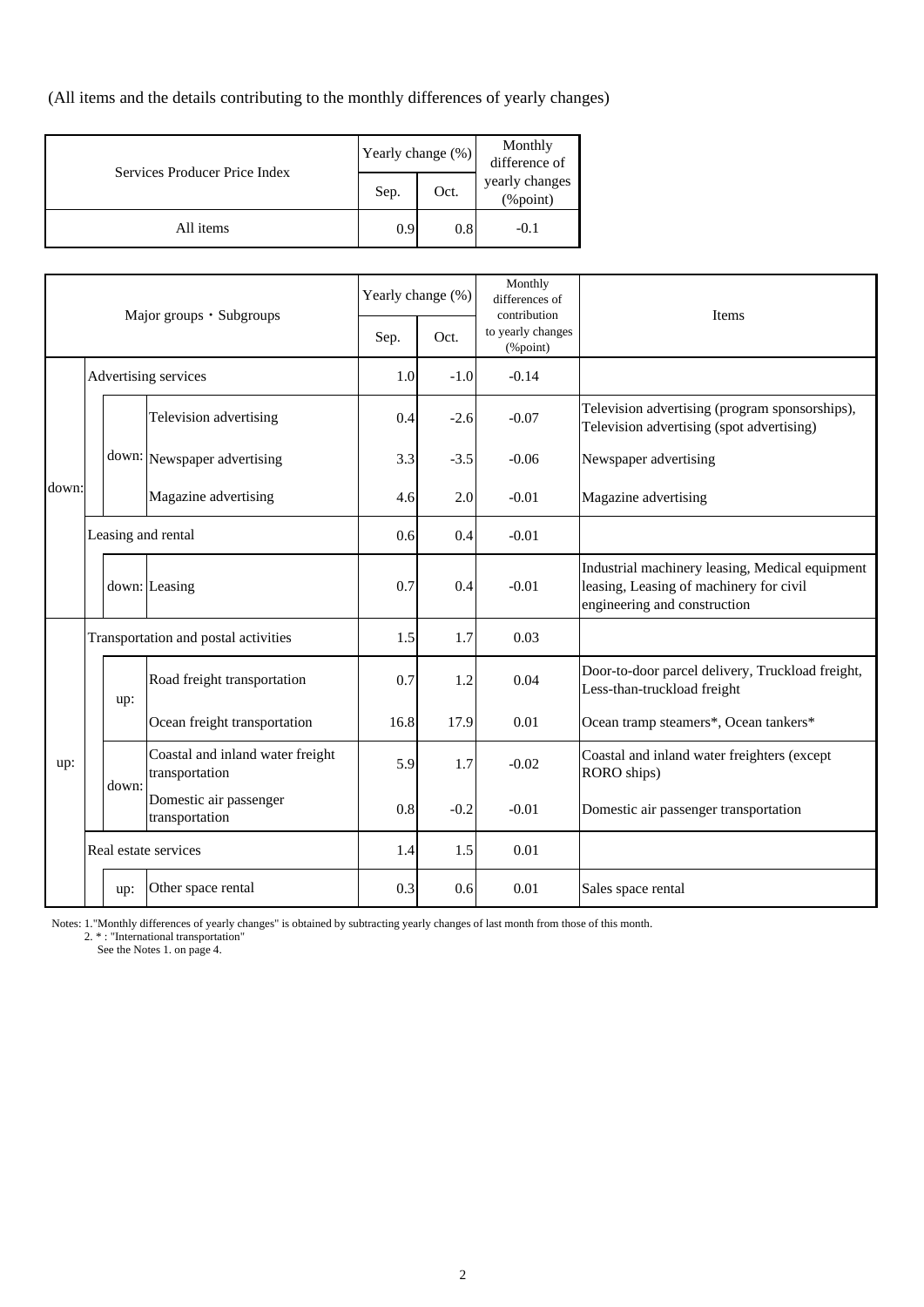(All items and the details contributing to the monthly differences of yearly changes)

| Services Producer Price Index |      | Yearly change (%) | Monthly<br>difference of       |  |  |
|-------------------------------|------|-------------------|--------------------------------|--|--|
|                               | Sep. | Oct.              | yearly changes<br>$(\%$ point) |  |  |
| All items                     | 0.9  | 0.8               | $-0.1$                         |  |  |

|       |                                                  | Yearly change (%) |                                                    | Monthly<br>differences of<br>contribution | <b>Items</b>                  |         |                                                                                                                            |  |
|-------|--------------------------------------------------|-------------------|----------------------------------------------------|-------------------------------------------|-------------------------------|---------|----------------------------------------------------------------------------------------------------------------------------|--|
|       | Major groups • Subgroups<br>Advertising services |                   | Sep.                                               | Oct.                                      | to yearly changes<br>(%point) |         |                                                                                                                            |  |
|       |                                                  |                   |                                                    | 1.0                                       | $-1.0$                        | $-0.14$ |                                                                                                                            |  |
|       |                                                  |                   | Television advertising                             | 0.4                                       | $-2.6$                        | $-0.07$ | Television advertising (program sponsorships),<br>Television advertising (spot advertising)                                |  |
|       |                                                  |                   | down: Newspaper advertising                        | 3.3                                       | $-3.5$                        | $-0.06$ | Newspaper advertising                                                                                                      |  |
| down: |                                                  |                   | Magazine advertising                               | 4.6                                       | 2.0                           | $-0.01$ | Magazine advertising                                                                                                       |  |
|       | Leasing and rental                               |                   | 0.6                                                | 0.4                                       | $-0.01$                       |         |                                                                                                                            |  |
|       |                                                  |                   | down: Leasing                                      | 0.7                                       | 0.4                           | $-0.01$ | Industrial machinery leasing, Medical equipment<br>leasing, Leasing of machinery for civil<br>engineering and construction |  |
|       |                                                  |                   | Transportation and postal activities               | 1.5                                       | 1.7                           | 0.03    |                                                                                                                            |  |
|       |                                                  | up:               | Road freight transportation                        | 0.7                                       | 1.2                           | 0.04    | Door-to-door parcel delivery, Truckload freight,<br>Less-than-truckload freight                                            |  |
|       |                                                  |                   | Ocean freight transportation                       | 16.8                                      | 17.9                          | 0.01    | Ocean tramp steamers*, Ocean tankers*                                                                                      |  |
| up:   |                                                  | down:             | Coastal and inland water freight<br>transportation | 5.9                                       | 1.7                           | $-0.02$ | Coastal and inland water freighters (except<br>RORO ships)                                                                 |  |
|       |                                                  |                   | Domestic air passenger<br>transportation           | 0.8                                       | $-0.2$                        | $-0.01$ | Domestic air passenger transportation                                                                                      |  |
|       |                                                  |                   | Real estate services                               | 1.4                                       | 1.5                           | 0.01    |                                                                                                                            |  |
|       |                                                  | up:               | Other space rental                                 | 0.3                                       | 0.6                           | 0.01    | Sales space rental                                                                                                         |  |

Notes: 1."Monthly differences of yearly changes" is obtained by subtracting yearly changes of last month from those of this month.

2. \* : "International transportation"

See the Notes 1. on page 4.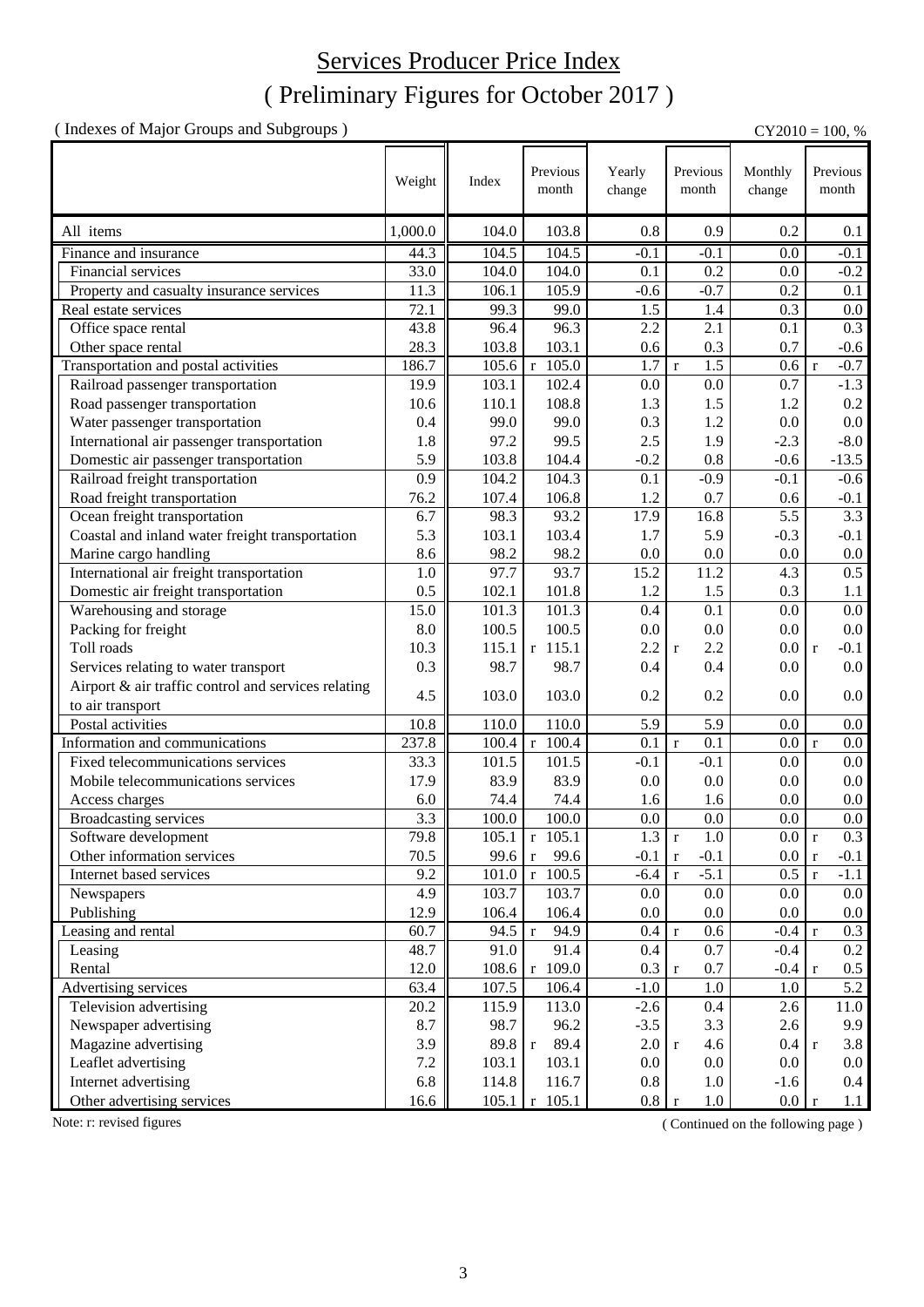## ( Preliminary Figures for October 2017 ) Services Producer Price Index

( Indexes of Major Groups and Subgroups ) CY2010 = 100, %

|                                                     | Weight  | Index | Previous<br>month       | Yearly<br>change | Previous<br>month      | Monthly<br>change | Previous<br>month      |
|-----------------------------------------------------|---------|-------|-------------------------|------------------|------------------------|-------------------|------------------------|
| All items                                           | 1,000.0 | 104.0 | 103.8                   | 0.8              | 0.9                    | 0.2               | 0.1                    |
| Finance and insurance                               | 44.3    | 104.5 | 104.5                   | $-0.1$           | $-0.1$                 | $0.0\,$           | $-0.1$                 |
| Financial services                                  | 33.0    | 104.0 | 104.0                   | 0.1              | 0.2                    | 0.0               | $-0.2$                 |
| Property and casualty insurance services            | 11.3    | 106.1 | 105.9                   | $-0.6$           | $-0.7$                 | 0.2               | 0.1                    |
| Real estate services                                | 72.1    | 99.3  | 99.0                    | 1.5              | 1.4                    | 0.3               | 0.0                    |
| Office space rental                                 | 43.8    | 96.4  | 96.3                    | 2.2              | 2.1                    | 0.1               | 0.3                    |
| Other space rental                                  | 28.3    | 103.8 | 103.1                   | 0.6              | 0.3                    | 0.7               | $-0.6$                 |
| Transportation and postal activities                | 186.7   | 105.6 | $r$ 105.0               | 1.7              | 1.5<br>$\mathbf r$     | 0.6               | $-0.7$<br>$\mathbf{r}$ |
| Railroad passenger transportation                   | 19.9    | 103.1 | 102.4                   | 0.0              | 0.0                    | 0.7               | $-1.3$                 |
| Road passenger transportation                       | 10.6    | 110.1 | 108.8                   | 1.3              | 1.5                    | 1.2               | $0.2\,$                |
| Water passenger transportation                      | 0.4     | 99.0  | 99.0                    | 0.3              | 1.2                    | 0.0               | $0.0\,$                |
| International air passenger transportation          | 1.8     | 97.2  | 99.5                    | 2.5              | 1.9                    | $-2.3$            | $-8.0$                 |
| Domestic air passenger transportation               | 5.9     | 103.8 | 104.4                   | $-0.2$           | 0.8                    | $-0.6$            | $-13.5$                |
| Railroad freight transportation                     | 0.9     | 104.2 | 104.3                   | 0.1              | $-0.9$                 | $-0.1$            | $-0.6$                 |
| Road freight transportation                         | 76.2    | 107.4 | 106.8                   | 1.2              | 0.7                    | 0.6               | $-0.1$                 |
| Ocean freight transportation                        | 6.7     | 98.3  | 93.2                    | 17.9             | 16.8                   | 5.5               | $\overline{3.3}$       |
| Coastal and inland water freight transportation     | 5.3     | 103.1 | 103.4                   | 1.7              | 5.9                    | $-0.3$            | $-0.1$                 |
| Marine cargo handling                               | 8.6     | 98.2  | 98.2                    | 0.0              | 0.0                    | 0.0               | $0.0\,$                |
| International air freight transportation            | 1.0     | 97.7  | 93.7                    | 15.2             | 11.2                   | 4.3               | $\overline{0.5}$       |
| Domestic air freight transportation                 | 0.5     | 102.1 | 101.8                   | 1.2              | 1.5                    | 0.3               | 1.1                    |
| Warehousing and storage                             | 15.0    | 101.3 | 101.3                   | 0.4              | 0.1                    | 0.0               | 0.0                    |
| Packing for freight                                 | 8.0     | 100.5 | 100.5                   | 0.0              | 0.0                    | 0.0               | $0.0\,$                |
| Toll roads                                          | 10.3    | 115.1 | $r$ 115.1               | 2.2              | 2.2<br>$\mathbf r$     | 0.0               | $-0.1$<br>$\mathbf{r}$ |
| Services relating to water transport                | 0.3     | 98.7  | 98.7                    | 0.4              | 0.4                    | 0.0               | 0.0                    |
| Airport & air traffic control and services relating |         |       |                         |                  |                        |                   |                        |
| to air transport                                    | 4.5     | 103.0 | 103.0                   | 0.2              | 0.2                    | 0.0               | 0.0                    |
| Postal activities                                   | 10.8    | 110.0 | 110.0                   | 5.9              | 5.9                    | 0.0               | $0.0\,$                |
| Information and communications                      | 237.8   | 100.4 | $\overline{r}$ 100.4    | 0.1              | $\mathbf{r}$<br>0.1    | 0.0               | $\vert$ r<br>0.0       |
| Fixed telecommunications services                   | 33.3    | 101.5 | 101.5                   | $-0.1$           | $-0.1$                 | 0.0               | $0.0\,$                |
| Mobile telecommunications services                  | 17.9    | 83.9  | 83.9                    | 0.0              | 0.0                    | 0.0               | $0.0\,$                |
| Access charges                                      | 6.0     | 74.4  | 74.4                    | 1.6              | 1.6                    | 0.0               | $0.0\,$                |
| Broadcasting services                               | 3.3     | 100.0 | 100.0                   | 0.0              | 0.0                    | 0.0               | 0.0                    |
| Software development                                | 79.8    | 105.1 | $r$ 105.1               | $1.3 \mid r$     | 1.0                    | 0.0 r             | 0.3                    |
| Other information services                          | 70.5    | 99.6  | 99.6<br>$\mathbf{r}$    | $-0.1$           | $-0.1$<br>$\mathbf r$  | 0.0 r             | $-0.1$                 |
| Internet based services                             | 9.2     | 101.0 | $r$ 100.5               | $-6.4$           | $-5.1$<br>$\mathbf{r}$ | 0.5               | $-1.1$<br>$\mathbf{r}$ |
| Newspapers                                          | 4.9     | 103.7 | 103.7                   | 0.0              | $0.0\,$                | 0.0               | $0.0\,$                |
| Publishing                                          | 12.9    | 106.4 | 106.4                   | 0.0              | $0.0\,$                | 0.0               | $0.0\,$                |
| Leasing and rental                                  | 60.7    | 94.5  | 94.9<br>$\mathbf{r}$    | 0.4              | 0.6<br>$\mathbf r$     | $-0.4 r$          | 0.3                    |
| Leasing                                             | 48.7    | 91.0  | 91.4                    | 0.4              | 0.7                    | $-0.4$            | $0.2\,$                |
| Rental                                              | 12.0    | 108.6 | $r$ 109.0               | 0.3              | 0.7<br>$\mathbf r$     | $-0.4 r$          | $0.5\,$                |
| Advertising services                                | 63.4    | 107.5 | 106.4                   | $-1.0$           | $1.0\,$                | 1.0               | 5.2                    |
| Television advertising                              | 20.2    | 115.9 | 113.0                   | $-2.6$           | $0.4\,$                | 2.6               | 11.0                   |
| Newspaper advertising                               | 8.7     | 98.7  | 96.2                    | $-3.5$           | 3.3                    | 2.6               | 9.9                    |
| Magazine advertising                                | 3.9     | 89.8  | 89.4<br>$\mathbf{r}$    | 2.0              | 4.6                    | 0.4 r             | 3.8                    |
| Leaflet advertising                                 | 7.2     | 103.1 | 103.1                   | 0.0              | $\mathbf{r}$<br>0.0    | 0.0               | $0.0\,$                |
| Internet advertising                                | 6.8     | 114.8 | 116.7                   | 0.8              | 1.0                    | $-1.6$            | $0.4\,$                |
| Other advertising services                          | 16.6    |       | $105.1 \text{ r} 105.1$ | 0.8 r            | $1.0\,$                | $0.0 \mid r$      | 1.1                    |
|                                                     |         |       |                         |                  |                        |                   |                        |

Note: r: revised figures (Continued on the following page)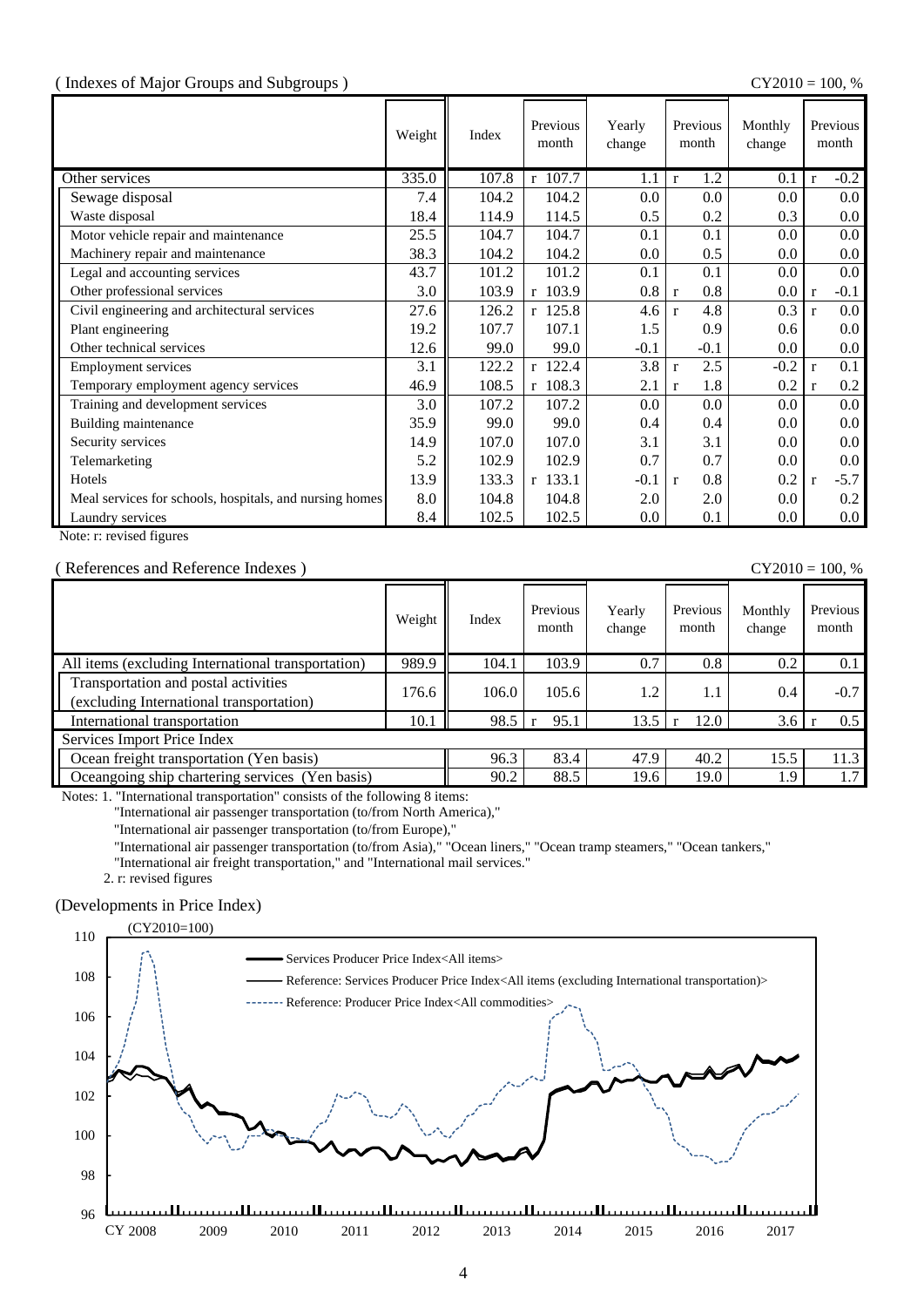#### ( Indexes of Major Groups and Subgroups ) CY2010 = 100, %

|                                                         | Weight | Index | Previous<br>month     | Yearly<br>change | Previous<br>month   | Monthly<br>change | Previous<br>month       |
|---------------------------------------------------------|--------|-------|-----------------------|------------------|---------------------|-------------------|-------------------------|
| Other services                                          | 335.0  | 107.8 | 107.7<br>$\mathbf{r}$ | 1.1              | 1.2<br>$\mathbf{r}$ | 0.1               | $-0.2$<br>$\mathbf{r}$  |
| Sewage disposal                                         | 7.4    | 104.2 | 104.2                 | 0.0              | 0.0                 | 0.0               | 0.0 <sub>1</sub>        |
| Waste disposal                                          | 18.4   | 114.9 | 114.5                 | 0.5              | 0.2                 | 0.3               | $0.0\,$                 |
| Motor vehicle repair and maintenance                    | 25.5   | 104.7 | 104.7                 | 0.1              | 0.1                 | 0.0               | $0.0\,$                 |
| Machinery repair and maintenance                        | 38.3   | 104.2 | 104.2                 | 0.0              | 0.5                 | 0.0               | $0.0\,$                 |
| Legal and accounting services                           | 43.7   | 101.2 | 101.2                 | 0.1              | 0.1                 | 0.0               | 0.0 <sub>1</sub>        |
| Other professional services                             | 3.0    | 103.9 | r 103.9               | 0.8              | 0.8<br>r            | 0.0               | $-0.1$<br>$\mathbf{r}$  |
| Civil engineering and architectural services            | 27.6   | 126.2 | $r$ 125.8             | 4.6              | 4.8<br>$\mathbf{r}$ | 0.3               | $0.0\,$<br>$\mathbf{r}$ |
| Plant engineering                                       | 19.2   | 107.7 | 107.1                 | 1.5              | 0.9                 | 0.6               | $0.0\,$                 |
| Other technical services                                | 12.6   | 99.0  | 99.0                  | $-0.1$           | $-0.1$              | 0.0               | $0.0\,$                 |
| <b>Employment services</b>                              | 3.1    | 122.2 | r 122.4               | 3.8              | 2.5<br>$\mathbf{r}$ | $-0.2$            | 0.1<br>$\mathbf{r}$     |
| Temporary employment agency services                    | 46.9   | 108.5 | $r$ 108.3             | 2.1              | 1.8<br>$\mathbf{r}$ | 0.2               | 0.2<br>$\mathbf{r}$     |
| Training and development services                       | 3.0    | 107.2 | 107.2                 | 0.0              | 0.0                 | 0.0               | 0.0 <sub>1</sub>        |
| Building maintenance                                    | 35.9   | 99.0  | 99.0                  | 0.4              | 0.4                 | 0.0               | $0.0\,$                 |
| Security services                                       | 14.9   | 107.0 | 107.0                 | 3.1              | 3.1                 | 0.0               | $0.0\,$                 |
| Telemarketing                                           | 5.2    | 102.9 | 102.9                 | 0.7              | 0.7                 | 0.0               | $0.0\,$                 |
| Hotels                                                  | 13.9   | 133.3 | $r$ 133.1             | $-0.1$           | 0.8<br>$\mathbf{r}$ | 0.2               | $-5.7$<br>$\mathbf{r}$  |
| Meal services for schools, hospitals, and nursing homes | 8.0    | 104.8 | 104.8                 | 2.0              | 2.0                 | 0.0               | 0.2                     |
| Laundry services                                        | 8.4    | 102.5 | 102.5                 | 0.0              | 0.1                 | 0.0               | $0.0\,$                 |

Note: r: revised figures

#### ( References and Reference Indexes ) CY2010 = 100, %

|                                                                                  | Weight | Index | Previous<br>month | Yearly<br>change | Previous<br>month | Monthly<br>change | Previous<br>month |
|----------------------------------------------------------------------------------|--------|-------|-------------------|------------------|-------------------|-------------------|-------------------|
| All items (excluding International transportation)                               | 989.9  | 104.1 | 103.9             | 0.7              | 0.8               | 0.2               | 0.1               |
| Transportation and postal activities<br>(excluding International transportation) | 176.6  | 106.0 | 105.6             | 1.2              | 1.1               | 0.4               | $-0.7$            |
| International transportation                                                     | 10.1   | 98.5  | 95.1              | 13.5             | 12.0              | 3.6               | 0.5               |
| Services Import Price Index                                                      |        |       |                   |                  |                   |                   |                   |
| Ocean freight transportation (Yen basis)                                         |        | 96.3  | 83.4              | 47.9             | 40.2              | 15.5              | 11.3              |
| Oceangoing ship chartering services (Yen basis)                                  |        | 90.2  | 88.5              | 19.6             | 19.0              | 1.9               | 1.7               |

Notes: 1. "International transportation" consists of the following 8 items:

"International air passenger transportation (to/from North America),"

"International air passenger transportation (to/from Europe),"

"International air passenger transportation (to/from Asia)," "Ocean liners," "Ocean tramp steamers," "Ocean tankers,"

"International air freight transportation," and "International mail services."

2. r: revised figures

#### (Developments in Price Index)